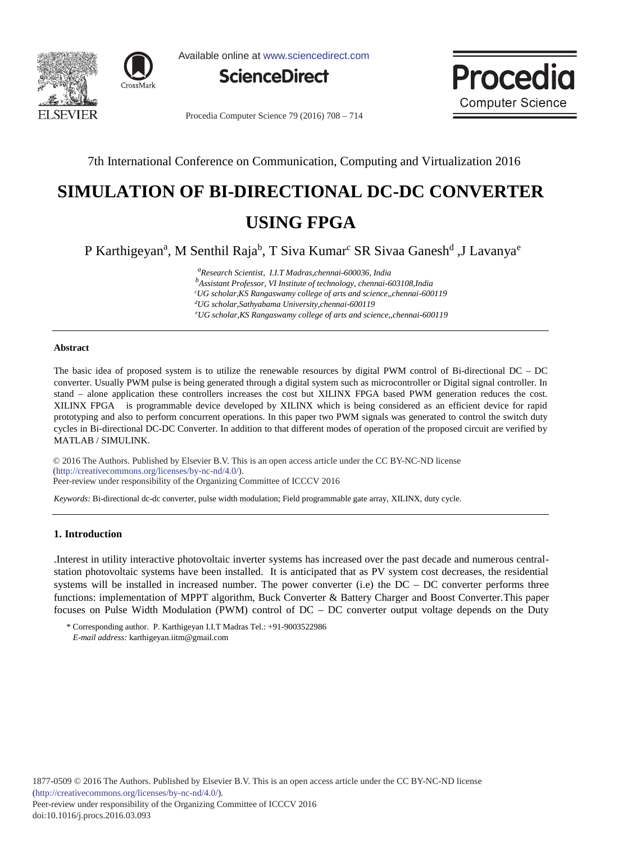



Available online at www.sciencedirect.com





Procedia Computer Science 79 (2016) 708 - 714

## 7th International Conference on Communication, Computing and Virtualization 2016

# **SIMULATION OF BI-DIRECTIONAL DC-DC CONVERTER USING FPGA**

P Karthigeyan<sup>a</sup>, M Senthil Raja<sup>b</sup>, T Siva Kumar<sup>c</sup> SR Sivaa Ganesh<sup>d</sup>, J Lavanya<sup>e</sup>

 *<sup>a</sup> Research Scientist, I.I.T Madras,chennai-600036, India* 

*<i>b Assistant Professor, VI Institute of technology, chennai-603108,India* 

 *cUG scholar,KS Rangaswamy college of arts and science,,chennai-600119* 

 *dUG scholar,Sathyabama University,chennai-600119 e*

*UG scholar,KS Rangaswamy college of arts and science,,chennai-600119*

#### **Abstract**

The basic idea of proposed system is to utilize the renewable resources by digital PWM control of Bi-directional DC – DC converter. Usually PWM pulse is being generated through a digital system such as microcontroller or Digital signal controller. In stand – alone application these controllers increases the cost but XILINX FPGA based PWM generation reduces the cost. XILINX FPGA is programmable device developed by XILINX which is being considered as an efficient device for rapid prototyping and also to perform concurrent operations. In this paper two PWM signals was generated to control the switch duty cycles in Bi-directional DC-DC Converter. In addition to that different modes of operation of the proposed circuit are verified by MATLAB / SIMULINK.

© 2016 The Authors. Published by Elsevier B.V. © 2016 The Authors. Published by Elsevier B.V. This is an open access article under the CC BY-NC-ND license Peer-review under responsibility of the Organizing Committee of ICCCV 2016. Peer-review under responsibility of the Organizing Committee of ICCCV 2016(http://creativecommons.org/licenses/by-nc-nd/4.0/).

*Keywords:* Bi-directional dc-dc converter, pulse width modulation; Field programmable gate array, XILINX, duty cycle.

#### **1. Introduction**

.Interest in utility interactive photovoltaic inverter systems has increased over the past decade and numerous centralstation photovoltaic systems have been installed. It is anticipated that as PV system cost decreases, the residential systems will be installed in increased number. The power converter (i.e) the DC – DC converter performs three functions: implementation of MPPT algorithm, Buck Converter & Battery Charger and Boost Converter.This paper focuses on Pulse Width Modulation (PWM) control of DC – DC converter output voltage depends on the Duty

\* Corresponding author. P. Karthigeyan I.I.T Madras Tel.: +91-9003522986 *E-mail address:* karthigeyan.iitm@gmail.com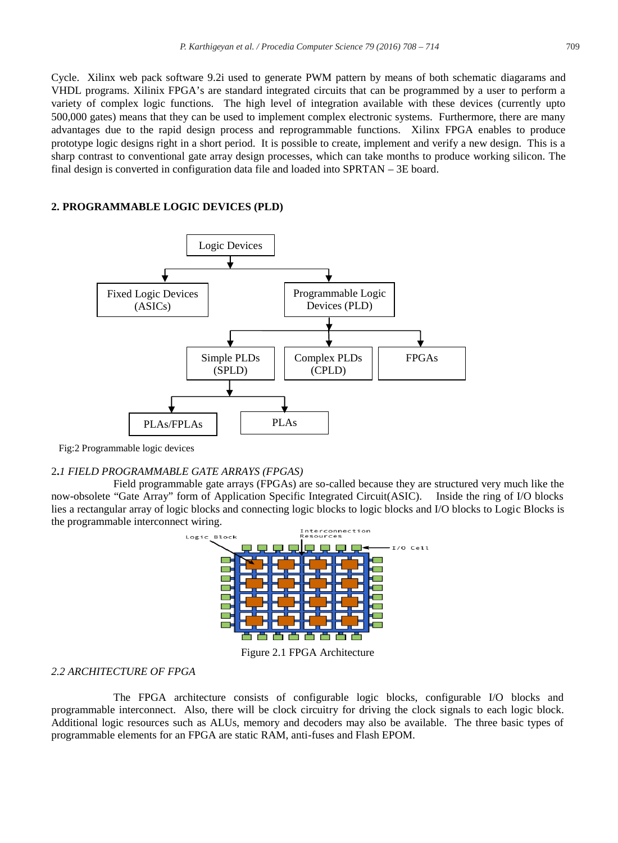Cycle. Xilinx web pack software 9.2i used to generate PWM pattern by means of both schematic diagarams and VHDL programs. Xilinix FPGA's are standard integrated circuits that can be programmed by a user to perform a variety of complex logic functions. The high level of integration available with these devices (currently upto 500,000 gates) means that they can be used to implement complex electronic systems. Furthermore, there are many advantages due to the rapid design process and reprogrammable functions. Xilinx FPGA enables to produce prototype logic designs right in a short period. It is possible to create, implement and verify a new design. This is a sharp contrast to conventional gate array design processes, which can take months to produce working silicon. The final design is converted in configuration data file and loaded into SPRTAN – 3E board.

#### **2. PROGRAMMABLE LOGIC DEVICES (PLD)**



Fig:2 Programmable logic devices

#### 2**.***1 FIELD PROGRAMMABLE GATE ARRAYS (FPGAS)*

Field programmable gate arrays (FPGAs) are so-called because they are structured very much like the now-obsolete "Gate Array" form of Application Specific Integrated Circuit(ASIC). Inside the ring of I/O blocks lies a rectangular array of logic blocks and connecting logic blocks to logic blocks and I/O blocks to Logic Blocks is the programmable interconnect wiring.



#### *2.2 ARCHITECTURE OF FPGA*

The FPGA architecture consists of configurable logic blocks, configurable I/O blocks and programmable interconnect. Also, there will be clock circuitry for driving the clock signals to each logic block. Additional logic resources such as ALUs, memory and decoders may also be available. The three basic types of programmable elements for an FPGA are static RAM, anti-fuses and Flash EPOM.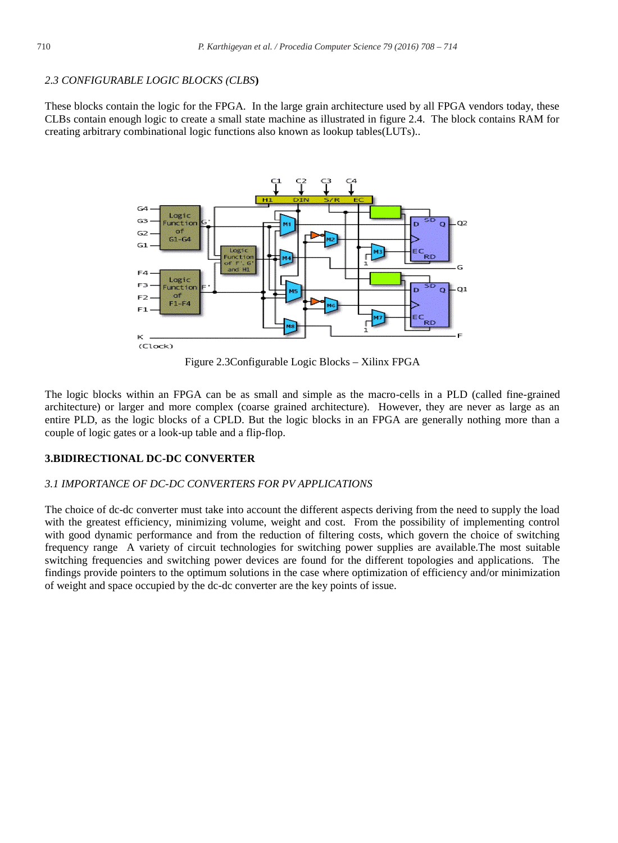#### *2.3 CONFIGURABLE LOGIC BLOCKS (CLBS***)**

These blocks contain the logic for the FPGA. In the large grain architecture used by all FPGA vendors today, these CLBs contain enough logic to create a small state machine as illustrated in figure 2.4. The block contains RAM for creating arbitrary combinational logic functions also known as lookup tables(LUTs)..



Figure 2.3Configurable Logic Blocks – Xilinx FPGA

The logic blocks within an FPGA can be as small and simple as the macro-cells in a PLD (called fine-grained architecture) or larger and more complex (coarse grained architecture). However, they are never as large as an entire PLD, as the logic blocks of a CPLD. But the logic blocks in an FPGA are generally nothing more than a couple of logic gates or a look-up table and a flip-flop.

#### **3.BIDIRECTIONAL DC-DC CONVERTER**

#### *3.1 IMPORTANCE OF DC-DC CONVERTERS FOR PV APPLICATIONS*

The choice of dc-dc converter must take into account the different aspects deriving from the need to supply the load with the greatest efficiency, minimizing volume, weight and cost. From the possibility of implementing control with good dynamic performance and from the reduction of filtering costs, which govern the choice of switching frequency range A variety of circuit technologies for switching power supplies are available.The most suitable switching frequencies and switching power devices are found for the different topologies and applications. The findings provide pointers to the optimum solutions in the case where optimization of efficiency and/or minimization of weight and space occupied by the dc-dc converter are the key points of issue.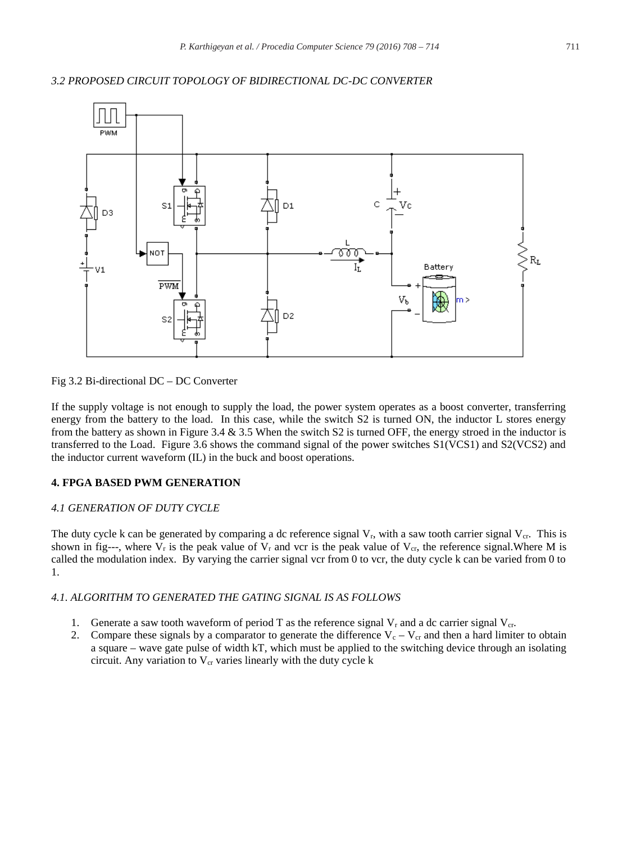#### *3.2 PROPOSED CIRCUIT TOPOLOGY OF BIDIRECTIONAL DC-DC CONVERTER*



Fig 3.2 Bi-directional DC – DC Converter

If the supply voltage is not enough to supply the load, the power system operates as a boost converter, transferring energy from the battery to the load. In this case, while the switch S2 is turned ON, the inductor L stores energy from the battery as shown in Figure 3.4  $\&$  3.5 When the switch S2 is turned OFF, the energy stroed in the inductor is transferred to the Load. Figure 3.6 shows the command signal of the power switches S1(VCS1) and S2(VCS2) and the inductor current waveform (IL) in the buck and boost operations.

#### **4. FPGA BASED PWM GENERATION**

#### *4.1 GENERATION OF DUTY CYCLE*

The duty cycle k can be generated by comparing a dc reference signal  $V_r$ , with a saw tooth carrier signal  $V_{cr}$ . This is shown in fig---, where  $V_r$  is the peak value of  $V_r$  and vcr is the peak value of  $V_{cr}$ , the reference signal. Where M is called the modulation index. By varying the carrier signal vcr from  $0$  to vcr, the duty cycle k can be varied from  $0$  to 1.

#### *4.1. ALGORITHM TO GENERATED THE GATING SIGNAL IS AS FOLLOWS*

- 1. Generate a saw tooth waveform of period T as the reference signal  $V_r$  and a dc carrier signal  $V_{cr}$ .
- 2. Compare these signals by a comparator to generate the difference  $V_c V_{cr}$  and then a hard limiter to obtain a square – wave gate pulse of width kT, which must be applied to the switching device through an isolating circuit. Any variation to  $V_{cr}$  varies linearly with the duty cycle  $k$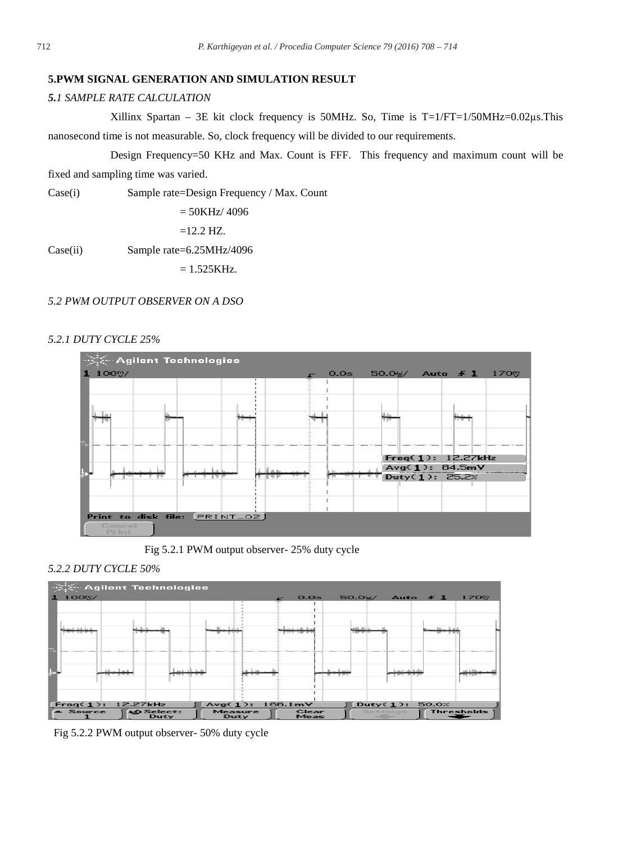#### **5.PWM SIGNAL GENERATION AND SIMULATION RESULT**

## *5.1 SAMPLE RATE CALCULATION*

Xillinx Spartan – 3E kit clock frequency is 50MHz. So, Time is  $T=1/FT=1/50MHz=0.02 \mu s$ .This nanosecond time is not measurable. So, clock frequency will be divided to our requirements.

Design Frequency=50 KHz and Max. Count is FFF. This frequency and maximum count will be

fixed and sampling time was varied.

Case(i) Sample rate=Design Frequency / Max. Count

$$
= 50 \text{KHz} / 4096
$$

 $=12.2$  HZ.

Case(ii) Sample rate=6.25MHz/4096

 $= 1.525KHz.$ 

#### *5.2 PWM OUTPUT OBSERVER ON A DSO*

## *5.2.1 DUTY CYCLE 25%*



Fig 5.2.1 PWM output observer- 25% duty cycle

#### *5.2.2 DUTY CYCLE 50%*



Fig 5.2.2 PWM output observer- 50% duty cycle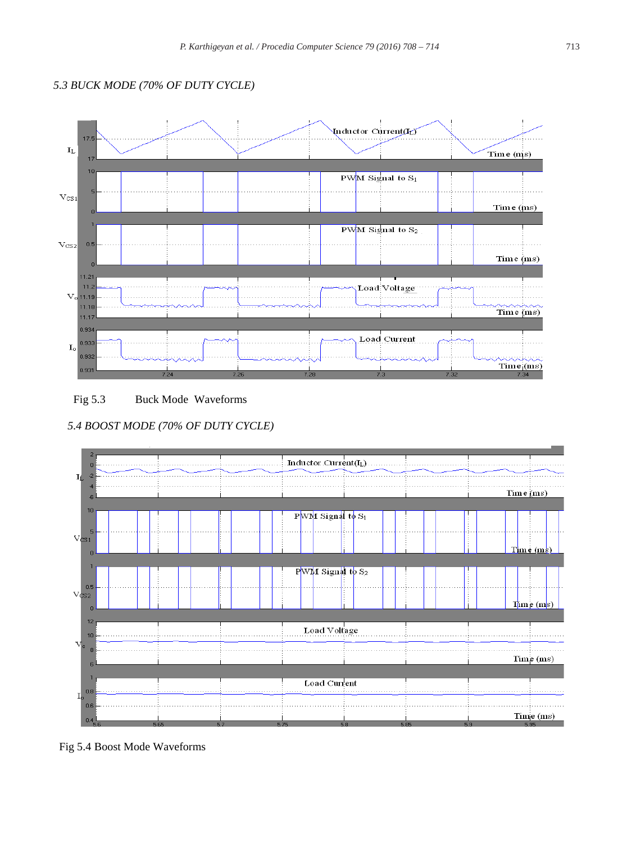# *5.3 BUCK MODE (70% OF DUTY CYCLE)*



Fig 5.3 Buck Mode Waveforms

 *5.4 BOOST MODE (70% OF DUTY CYCLE)*



Fig 5.4 Boost Mode Waveforms